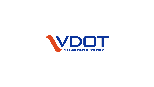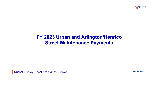

## **FY 2023 Urban and Arlington/Henrico Street Maintenance Payments**

Russell Dudley, Local Assistance Division **May 17, 2022** May 17, 2022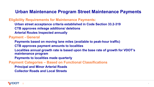#### **Urban Maintenance Program Street Maintenance Payments**

**Eligibility Requirements for Maintenance Payments:**

- **Urban street acceptance criteria established in Code Section 33.2-319**
- **CTB approves mileage additions/ deletions**
- **Arterial Routes Inspected annually**

**Payment - General**

- **Payments based on moving lane miles (available to peak-hour traffic)**
- **CTB approves payment amounts to localities**
- **Localities annual growth rate is based upon the base rate of growth for VDOT's maintenance program**
- **Payments to localities made quarterly**

**Payment Categories – Based on Functional Classifications**

- **Principal and Minor Arterial Roads**
- **Collector Roads and Local Streets**

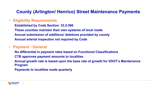### **County (Arlington/ Henrico) Street Maintenance Payments**

• **Eligibility Requirements**

**Established by Code Section: 33.2-366 These counties maintain their own systems of local roads Annual submission of additions/ deletions provided by county Annual arterial inspection not required by Code**

#### • **Payment - General**

**No differential in payment rates based on Functional Classifications CTB approves payment amounts to localities Annual growth rate is based upon the base rate of growth for VDOT's Maintenance Program**

**Payments to localities made quarterly**

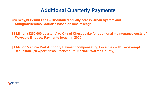# **Additional Quarterly Payments**

**Overweight Permit Fees – Distributed equally across Urban System and Arlington/Henrico Counties based on lane mileage**

**\$1 Million (\$250,000 quarterly) to City of Chesapeake for additional maintenance costs of Moveable Bridges; Payments began in 2005**

**\$1 Million Virginia Port Authority Payment compensating Localities with Tax-exempt Real-estate (Newport News, Portsmouth, Norfolk, Warren County)**

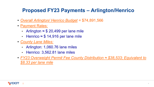# **Proposed FY23 Payments – Arlington/Henrico**

- *Overall Arlington/ Henrico Budget* = \$74,891,566
- Payment Rates:
	- Arlington  $\approx$  \$ 20,499 per lane mile
	- Henrico  $\approx$  \$ 14,916 per lane mile
- *County Lane Miles:* 
	- Arlington: 1,060.76 lane miles
	- Henrico: 3,562.81 lane miles
- *FY23 Overweight Permit Fee County Distribution ≈ \$38,533; Equivalent to \$8.33 per lane mile*

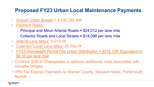# **Proposed FY23 Urban Local Maintenance Payments**

- *Overall Urban Budget* = \$ 432,293,440
- *Payment Rates:*
	- Principal and Minor Arterial Roads  $\approx$  \$24,012 per lane mile
	- Collector Roads and Local Streets ≈ \$14,098 per lane mile
- *Arterial Lane Miles:* 6,010.06
- *Collector/ Local Lane Miles:* 20,354.74
- *FY23 Overweight Permit Fee Urban Distribution ≈ \$219,726; Equivalent to \$8.33 per lane mile*
- Continue \$1M to Chesapeake to address additional costs associated with movable bridges
- VPA Tax Exempt Payments to Warren County, Newport News, Portsmouth, Norfolk